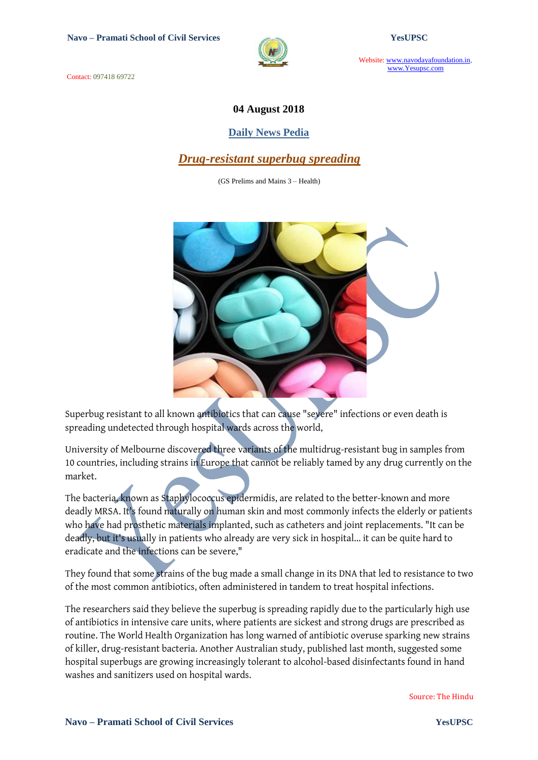

Website: www.navodayafoundation.in, www.Yesupsc.com

Contact: 097418 69722

#### **04 August 2018**

#### **Daily News Pedia**

## *Drug-resistant superbug spreading*

(GS Prelims and Mains 3 – Health)



Superbug resistant to all known antibiotics that can cause "severe" infections or even death is spreading undetected through hospital wards across the world,

University of Melbourne discovered three variants of the multidrug-resistant bug in samples from 10 countries, including strains in Europe that cannot be reliably tamed by any drug currently on the market.

The bacteria, known as Staphylococcus epidermidis, are related to the better-known and more deadly MRSA. It's found naturally on human skin and most commonly infects the elderly or patients who have had prosthetic materials implanted, such as catheters and joint replacements. "It can be deadly, but it's usually in patients who already are very sick in hospital... it can be quite hard to eradicate and the infections can be severe,"

They found that some strains of the bug made a small change in its DNA that led to resistance to two of the most common antibiotics, often administered in tandem to treat hospital infections.

The researchers said they believe the superbug is spreading rapidly due to the particularly high use of antibiotics in intensive care units, where patients are sickest and strong drugs are prescribed as routine. The World Health Organization has long warned of antibiotic overuse sparking new strains of killer, drug-resistant bacteria. Another Australian study, published last month, suggested some hospital superbugs are growing increasingly tolerant to alcohol-based disinfectants found in hand washes and sanitizers used on hospital wards.

Source: The Hindu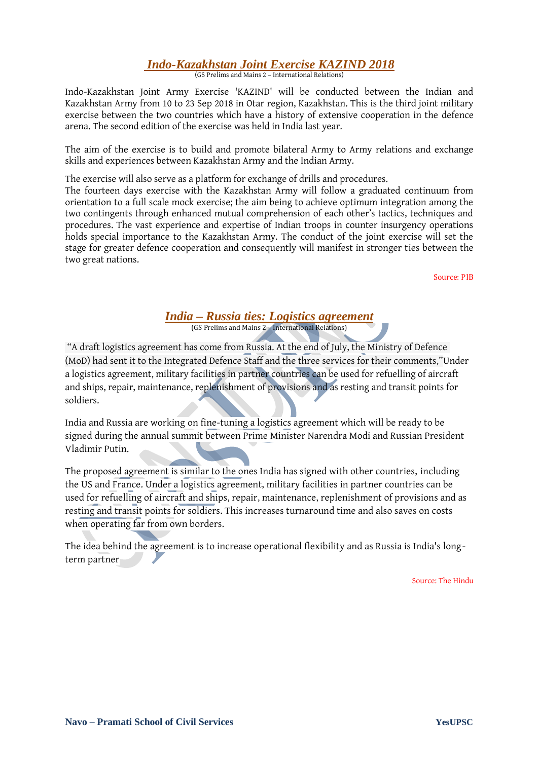# *Indo-Kazakhstan Joint Exercise KAZIND 2018*

(GS Prelims and Mains 2 – International Relations)

Indo-Kazakhstan Joint Army Exercise 'KAZIND' will be conducted between the Indian and Kazakhstan Army from 10 to 23 Sep 2018 in Otar region, Kazakhstan. This is the third joint military exercise between the two countries which have a history of extensive cooperation in the defence arena. The second edition of the exercise was held in India last year.

The aim of the exercise is to build and promote bilateral Army to Army relations and exchange skills and experiences between Kazakhstan Army and the Indian Army.

The exercise will also serve as a platform for exchange of drills and procedures.

The fourteen days exercise with the Kazakhstan Army will follow a graduated continuum from orientation to a full scale mock exercise; the aim being to achieve optimum integration among the two contingents through enhanced mutual comprehension of each other's tactics, techniques and procedures. The vast experience and expertise of Indian troops in counter insurgency operations holds special importance to the Kazakhstan Army. The conduct of the joint exercise will set the stage for greater defence cooperation and consequently will manifest in stronger ties between the two great nations.

Source: PIB

#### *India – Russia ties: Logistics agreement* (GS Prelims and Mains 2 – International Relations)

"A draft logistics agreement has come from Russia. At the end of July, the Ministry of Defence (MoD) had sent it to the Integrated Defence Staff and the three services for their comments,"Under a logistics agreement, military facilities in partner countries can be used for refuelling of aircraft and ships, repair, maintenance, replenishment of provisions and as resting and transit points for soldiers.

India and Russia are working on fine-tuning a logistics agreement which will be ready to be signed during the annual summit between Prime Minister Narendra Modi and Russian President Vladimir Putin.

The proposed agreement is similar to the ones India has signed with other countries, including the US and France. Under a logistics agreement, military facilities in partner countries can be used for refuelling of aircraft and ships, repair, maintenance, replenishment of provisions and as resting and transit points for soldiers. This increases turnaround time and also saves on costs when operating far from own borders.

The idea behind the agreement is to increase operational flexibility and as Russia is India's longterm partner

Source: The Hindu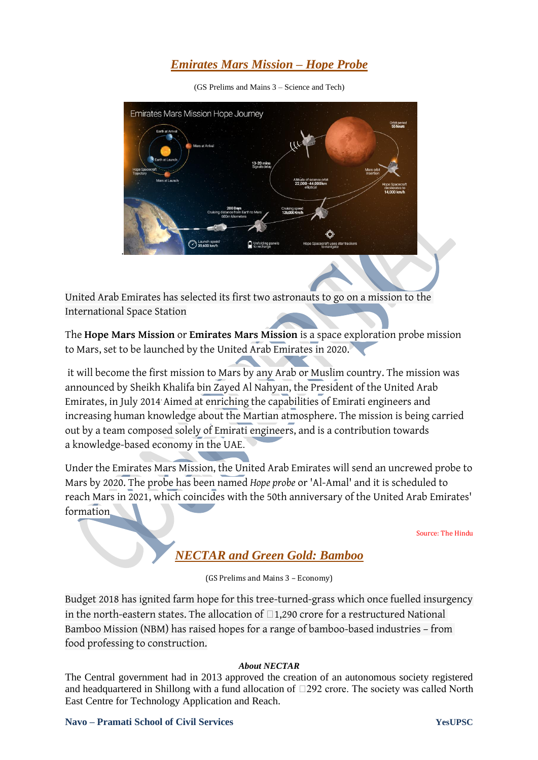# *Emirates Mars Mission – Hope Probe*

(GS Prelims and Mains 3 – Science and Tech)



United Arab Emirates has selected its first two astronauts to go on a mission to the International Space Station

The **Hope Mars Mission** or **Emirates Mars Mission** is a [space exploration](https://en.wikipedia.org/wiki/Space_exploration) probe mission to [Mars,](https://en.wikipedia.org/wiki/Mars) set to be launched by the [United Arab Emirates](https://en.wikipedia.org/wiki/United_Arab_Emirates) in 2020.

it will become the first mission to Mars by any Arab or Muslim country. The mission was announced by [Sheikh Khalifa bin Zayed Al Nahyan,](https://en.wikipedia.org/wiki/Khalifa_bin_Zayed_Al_Nahyan) the President of the United Arab Emirates, in July 2014. Aimed at enriching the capabilities of Emirati engineers and increasing human knowledge about the [Martian atmosphere.](https://en.wikipedia.org/wiki/Atmosphere_of_Mars) The mission is being carried out by a team composed solely of Emirati engineers, and is a contribution towards a [knowledge-based economy](https://en.wikipedia.org/wiki/Knowledge-based_economy) in the UAE.

Under the Emirates Mars Mission, the United Arab Emirates will send an uncrewed probe to Mars by 2020. The probe has been named *Hope probe* or 'Al-Amal' and it is scheduled to reach Mars in 2021, which coincides with the 50th anniversary of the United Arab Emirates' formation

Source: The Hindu

# *NECTAR and Green Gold: Bamboo*

(GS Prelims and Mains 3 – Economy)

Budget 2018 has ignited farm hope for this tree-turned-grass which once fuelled insurgency in the north-eastern states. The allocation of  $\Box$ 1,290 crore for a restructured National Bamboo Mission (NBM) has raised hopes for a range of bamboo-based industries – from food professing to construction.

#### *About NECTAR*

The Central government had in 2013 approved the creation of an autonomous society registered and headquartered in Shillong with a fund allocation of  $\Box$ 292 crore. The society was called North East Centre for Technology Application and Reach.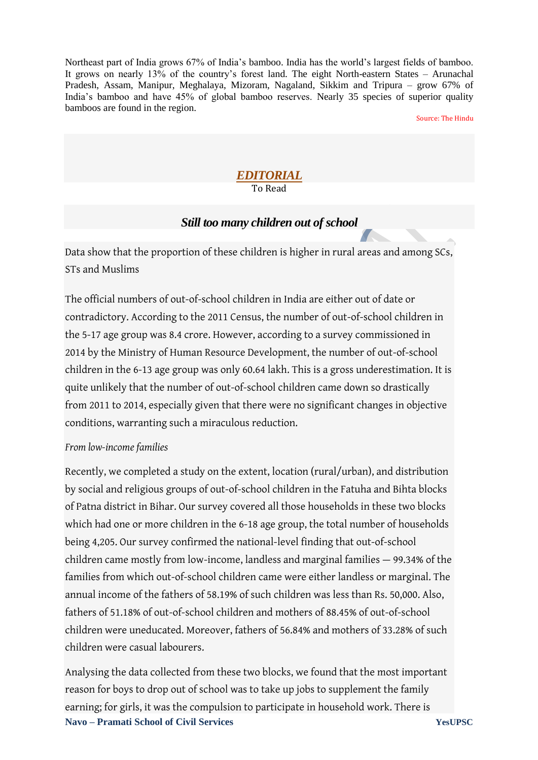Northeast part of India grows 67% of India's bamboo. India has the world's largest fields of bamboo. It grows on nearly 13% of the country's forest land. The eight North-eastern States – Arunachal Pradesh, Assam, Manipur, Meghalaya, Mizoram, Nagaland, Sikkim and Tripura – grow 67% of India's bamboo and have 45% of global bamboo reserves. Nearly 35 species of superior quality bamboos are found in the region.

Source: The Hindu

#### *EDITORIAL* To Read

## *Still too many children out of school*

Data show that the proportion of these children is higher in rural areas and among SCs, STs and Muslims

The official numbers of out-of-school children in India are either out of date or contradictory. According to the 2011 Census, the number of out-of-school children in the 5-17 age group was 8.4 crore. However, according to a survey commissioned in 2014 by the Ministry of Human Resource Development, the number of out-of-school children in the 6-13 age group was only 60.64 lakh. This is a gross underestimation. It is quite unlikely that the number of out-of-school children came down so drastically from 2011 to 2014, especially given that there were no significant changes in objective conditions, warranting such a miraculous reduction.

## *From low-income families*

Recently, we completed a study on the extent, location (rural/urban), and distribution by social and religious groups of out-of-school children in the Fatuha and Bihta blocks of Patna district in Bihar. Our survey covered all those households in these two blocks which had one or more children in the 6-18 age group, the total number of households being 4,205. Our survey confirmed the national-level finding that out-of-school children came mostly from low-income, landless and marginal families — 99.34% of the families from which out-of-school children came were either landless or marginal. The annual income of the fathers of 58.19% of such children was less than Rs. 50,000. Also, fathers of 51.18% of out-of-school children and mothers of 88.45% of out-of-school children were uneducated. Moreover, fathers of 56.84% and mothers of 33.28% of such children were casual labourers.

**Navo – Pramati School of Civil Services YesUPSC** Analysing the data collected from these two blocks, we found that the most important reason for boys to drop out of school was to take up jobs to supplement the family earning; for girls, it was the compulsion to participate in household work. There is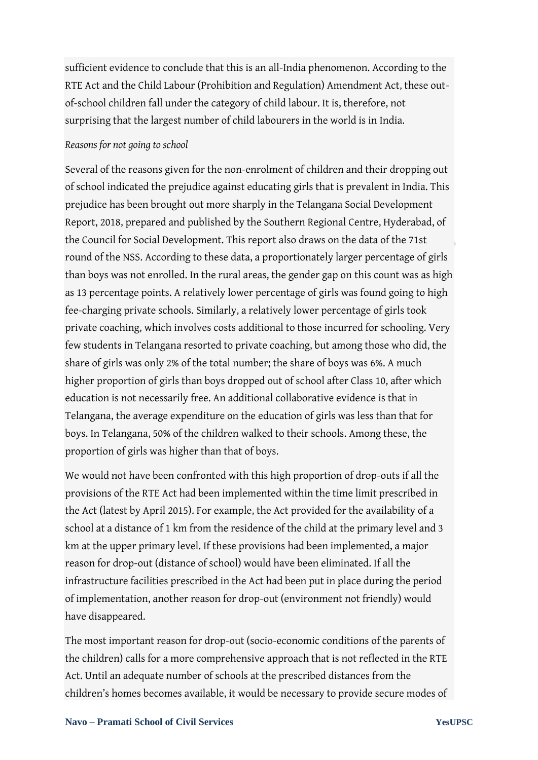sufficient evidence to conclude that this is an all-India phenomenon. According to the RTE Act and the Child Labour (Prohibition and Regulation) Amendment Act, these outof-school children fall under the category of child labour. It is, therefore, not surprising that the largest number of child labourers in the world is in India.

### *Reasons for not going to school*

Several of the reasons given for the non-enrolment of children and their dropping out of school indicated the prejudice against educating girls that is prevalent in India. This prejudice has been brought out more sharply in the Telangana Social Development Report, 2018, prepared and published by the Southern Regional Centre, Hyderabad, of the Council for Social Development. This report also draws on the data of the 71st round of the NSS. According to these data, a proportionately larger percentage of girls than boys was not enrolled. In the rural areas, the gender gap on this count was as high as 13 percentage points. A relatively lower percentage of girls was found going to high fee-charging private schools. Similarly, a relatively lower percentage of girls took private coaching, which involves costs additional to those incurred for schooling. Very few students in Telangana resorted to private coaching, but among those who did, the share of girls was only 2% of the total number; the share of boys was 6%. A much higher proportion of girls than boys dropped out of school after Class 10, after which education is not necessarily free. An additional collaborative evidence is that in Telangana, the average expenditure on the education of girls was less than that for boys. In Telangana, 50% of the children walked to their schools. Among these, the proportion of girls was higher than that of boys.

We would not have been confronted with this high proportion of drop-outs if all the provisions of the RTE Act had been implemented within the time limit prescribed in the Act (latest by April 2015). For example, the Act provided for the availability of a school at a distance of 1 km from the residence of the child at the primary level and 3 km at the upper primary level. If these provisions had been implemented, a major reason for drop-out (distance of school) would have been eliminated. If all the infrastructure facilities prescribed in the Act had been put in place during the period of implementation, another reason for drop-out (environment not friendly) would have disappeared.

The most important reason for drop-out (socio-economic conditions of the parents of the children) calls for a more comprehensive approach that is not reflected in the RTE Act. Until an adequate number of schools at the prescribed distances from the children's homes becomes available, it would be necessary to provide secure modes of